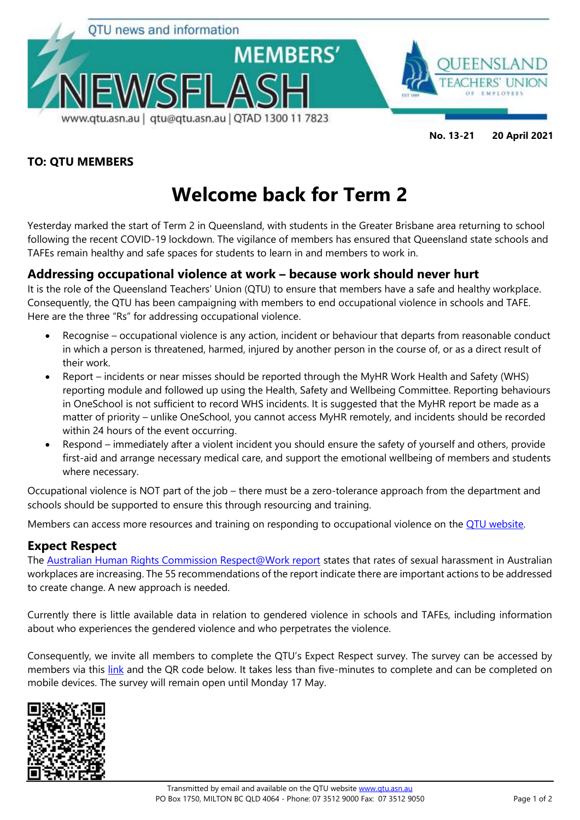

### **TO: QTU MEMBERS**

# **Welcome back for Term 2**

Yesterday marked the start of Term 2 in Queensland, with students in the Greater Brisbane area returning to school following the recent COVID-19 lockdown. The vigilance of members has ensured that Queensland state schools and TAFEs remain healthy and safe spaces for students to learn in and members to work in.

## **Addressing occupational violence at work – because work should never hurt**

It is the role of the Queensland Teachers' Union (QTU) to ensure that members have a safe and healthy workplace. Consequently, the QTU has been campaigning with members to end occupational violence in schools and TAFE. Here are the three "Rs" for addressing occupational violence.

- Recognise occupational violence is any action, incident or behaviour that departs from reasonable conduct in which a person is threatened, harmed, injured by another person in the course of, or as a direct result of their work.
- Report incidents or near misses should be reported through the MyHR Work Health and Safety (WHS) reporting module and followed up using the Health, Safety and Wellbeing Committee. Reporting behaviours in OneSchool is not sufficient to record WHS incidents. It is suggested that the MyHR report be made as a matter of priority – unlike OneSchool, you cannot access MyHR remotely, and incidents should be recorded within 24 hours of the event occurring.
- Respond immediately after a violent incident you should ensure the safety of yourself and others, provide first-aid and arrange necessary medical care, and support the emotional wellbeing of members and students where necessary.

Occupational violence is NOT part of the job – there must be a zero-tolerance approach from the department and schools should be supported to ensure this through resourcing and training.

Members can access more resources and training on responding to occupational violence on the [QTU website.](https://www.qtu.asn.au/OccupationalViolence)

## **Expect Respect**

The [Australian Human Rights Commission Respect@Work report](https://humanrights.gov.au/our-work/sex-discrimination/publications/respectwork-sexual-harassment-national-inquiry-report-2020) states that rates of sexual harassment in Australian workplaces are increasing. The 55 recommendations of the report indicate there are important actions to be addressed to create change. A new approach is needed.

Currently there is little available data in relation to gendered violence in schools and TAFEs, including information about who experiences the gendered violence and who perpetrates the violence.

Consequently, we invite all members to complete the QTU's Expect Respect survey. The survey can be accessed by members via this [link](https://www.research.net/r/QTUExpectRespect) and the QR code below. It takes less than five-minutes to complete and can be completed on mobile devices. The survey will remain open until Monday 17 May.